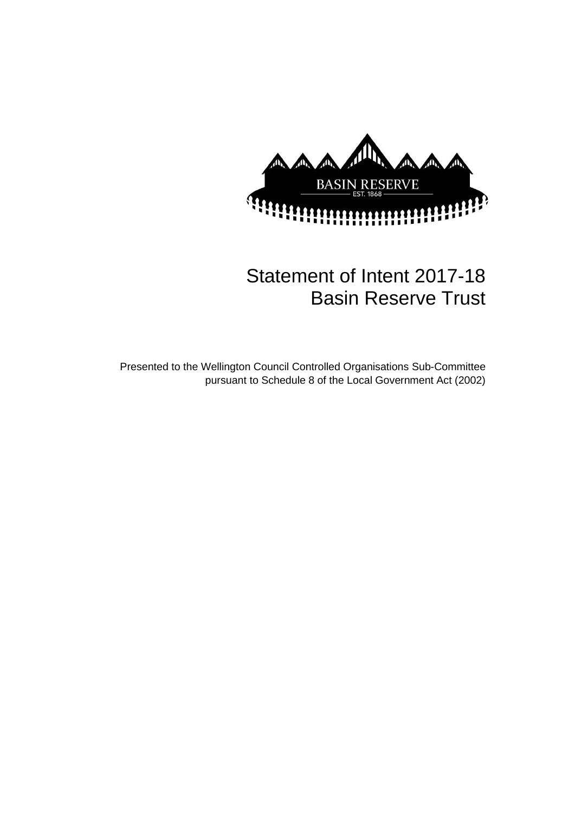

# Statement of Intent 2017-18 Basin Reserve Trust

Presented to the Wellington Council Controlled Organisations Sub-Committee pursuant to Schedule 8 of the Local Government Act (2002)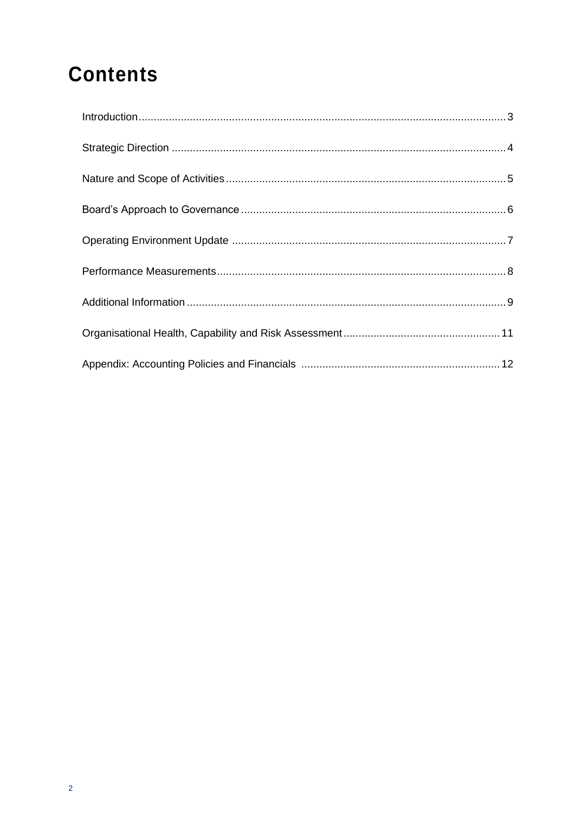# **Contents**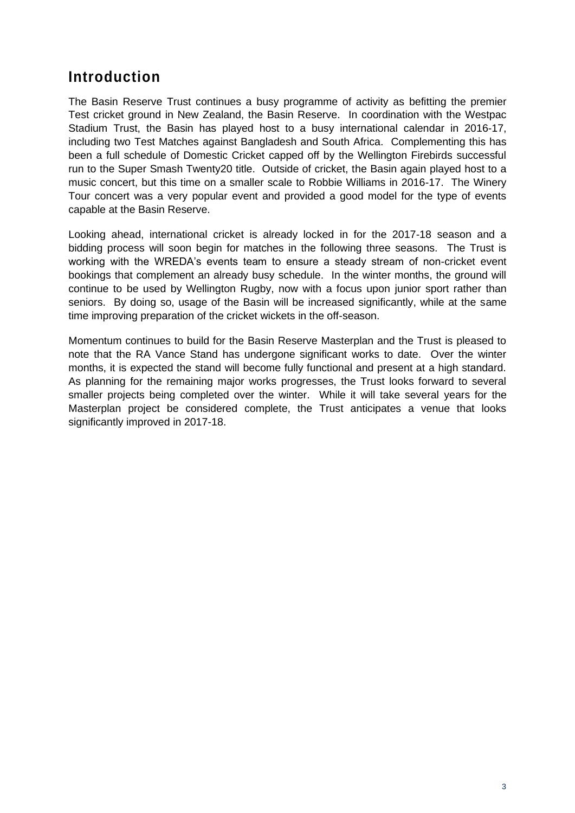## **Introduction**

The Basin Reserve Trust continues a busy programme of activity as befitting the premier Test cricket ground in New Zealand, the Basin Reserve. In coordination with the Westpac Stadium Trust, the Basin has played host to a busy international calendar in 2016-17, including two Test Matches against Bangladesh and South Africa. Complementing this has been a full schedule of Domestic Cricket capped off by the Wellington Firebirds successful run to the Super Smash Twenty20 title. Outside of cricket, the Basin again played host to a music concert, but this time on a smaller scale to Robbie Williams in 2016-17. The Winery Tour concert was a very popular event and provided a good model for the type of events capable at the Basin Reserve.

Looking ahead, international cricket is already locked in for the 2017-18 season and a bidding process will soon begin for matches in the following three seasons. The Trust is working with the WREDA's events team to ensure a steady stream of non-cricket event bookings that complement an already busy schedule. In the winter months, the ground will continue to be used by Wellington Rugby, now with a focus upon junior sport rather than seniors. By doing so, usage of the Basin will be increased significantly, while at the same time improving preparation of the cricket wickets in the off-season.

Momentum continues to build for the Basin Reserve Masterplan and the Trust is pleased to note that the RA Vance Stand has undergone significant works to date. Over the winter months, it is expected the stand will become fully functional and present at a high standard. As planning for the remaining major works progresses, the Trust looks forward to several smaller projects being completed over the winter. While it will take several years for the Masterplan project be considered complete, the Trust anticipates a venue that looks significantly improved in 2017-18.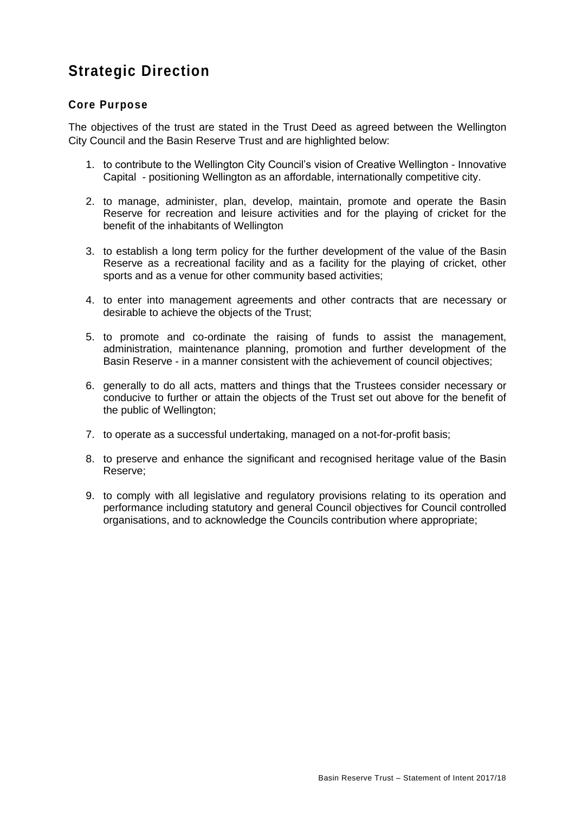# **Strategic Direction**

### **Core Purpose**

The objectives of the trust are stated in the Trust Deed as agreed between the Wellington City Council and the Basin Reserve Trust and are highlighted below:

- 1. to contribute to the Wellington City Council's vision of Creative Wellington Innovative Capital - positioning Wellington as an affordable, internationally competitive city.
- 2. to manage, administer, plan, develop, maintain, promote and operate the Basin Reserve for recreation and leisure activities and for the playing of cricket for the benefit of the inhabitants of Wellington
- 3. to establish a long term policy for the further development of the value of the Basin Reserve as a recreational facility and as a facility for the playing of cricket, other sports and as a venue for other community based activities;
- 4. to enter into management agreements and other contracts that are necessary or desirable to achieve the objects of the Trust;
- 5. to promote and co-ordinate the raising of funds to assist the management, administration, maintenance planning, promotion and further development of the Basin Reserve - in a manner consistent with the achievement of council objectives;
- 6. generally to do all acts, matters and things that the Trustees consider necessary or conducive to further or attain the objects of the Trust set out above for the benefit of the public of Wellington;
- 7. to operate as a successful undertaking, managed on a not-for-profit basis;
- 8. to preserve and enhance the significant and recognised heritage value of the Basin Reserve;
- 9. to comply with all legislative and regulatory provisions relating to its operation and performance including statutory and general Council objectives for Council controlled organisations, and to acknowledge the Councils contribution where appropriate;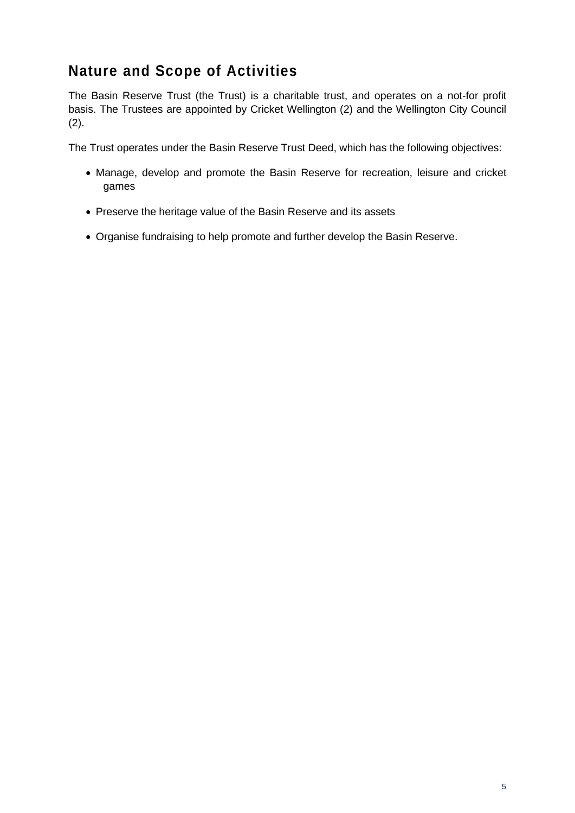# **Nature and Scope of Activities**

The Basin Reserve Trust (the Trust) is a charitable trust, and operates on a not-for profit basis. The Trustees are appointed by Cricket Wellington (2) and the Wellington City Council (2).

The Trust operates under the Basin Reserve Trust Deed, which has the following objectives:

- Manage, develop and promote the Basin Reserve for recreation, leisure and cricket games
- Preserve the heritage value of the Basin Reserve and its assets
- Organise fundraising to help promote and further develop the Basin Reserve.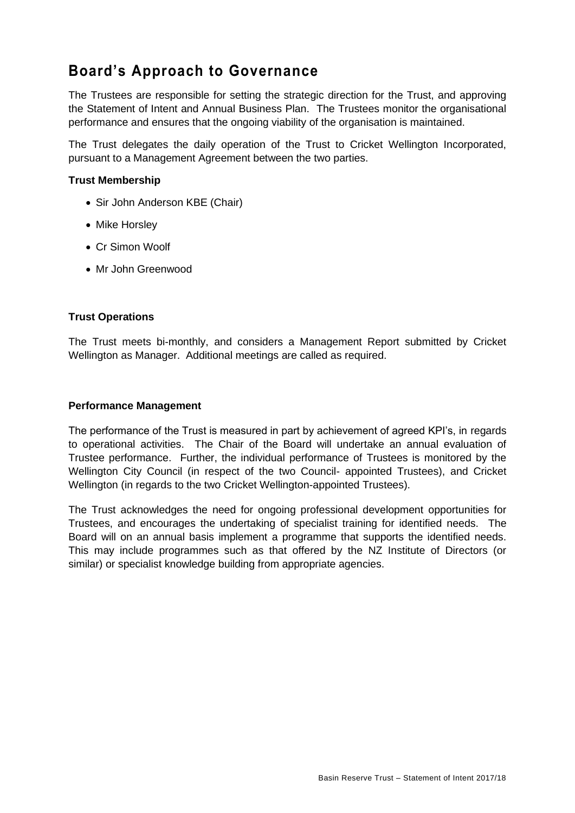# **Board's Approach to Governance**

The Trustees are responsible for setting the strategic direction for the Trust, and approving the Statement of Intent and Annual Business Plan. The Trustees monitor the organisational performance and ensures that the ongoing viability of the organisation is maintained.

The Trust delegates the daily operation of the Trust to Cricket Wellington Incorporated, pursuant to a Management Agreement between the two parties.

#### **Trust Membership**

- Sir John Anderson KBE (Chair)
- Mike Horsley
- Cr Simon Woolf
- Mr John Greenwood

#### **Trust Operations**

The Trust meets bi-monthly, and considers a Management Report submitted by Cricket Wellington as Manager. Additional meetings are called as required.

#### **Performance Management**

The performance of the Trust is measured in part by achievement of agreed KPI's, in regards to operational activities. The Chair of the Board will undertake an annual evaluation of Trustee performance. Further, the individual performance of Trustees is monitored by the Wellington City Council (in respect of the two Council- appointed Trustees), and Cricket Wellington (in regards to the two Cricket Wellington-appointed Trustees).

The Trust acknowledges the need for ongoing professional development opportunities for Trustees, and encourages the undertaking of specialist training for identified needs. The Board will on an annual basis implement a programme that supports the identified needs. This may include programmes such as that offered by the NZ Institute of Directors (or similar) or specialist knowledge building from appropriate agencies.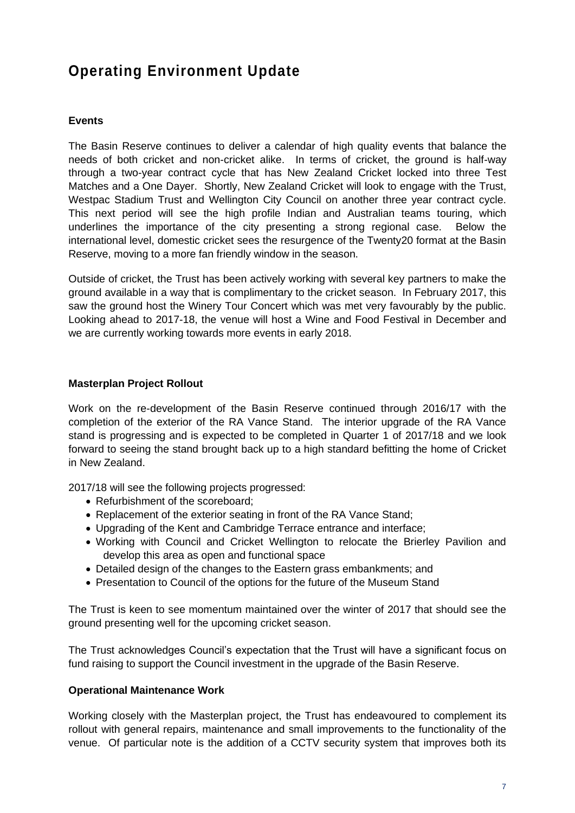# **Operating Environment Update**

### **Events**

The Basin Reserve continues to deliver a calendar of high quality events that balance the needs of both cricket and non-cricket alike. In terms of cricket, the ground is half-way through a two-year contract cycle that has New Zealand Cricket locked into three Test Matches and a One Dayer. Shortly, New Zealand Cricket will look to engage with the Trust, Westpac Stadium Trust and Wellington City Council on another three year contract cycle. This next period will see the high profile Indian and Australian teams touring, which underlines the importance of the city presenting a strong regional case. Below the international level, domestic cricket sees the resurgence of the Twenty20 format at the Basin Reserve, moving to a more fan friendly window in the season.

Outside of cricket, the Trust has been actively working with several key partners to make the ground available in a way that is complimentary to the cricket season. In February 2017, this saw the ground host the Winery Tour Concert which was met very favourably by the public. Looking ahead to 2017-18, the venue will host a Wine and Food Festival in December and we are currently working towards more events in early 2018.

#### **Masterplan Project Rollout**

Work on the re-development of the Basin Reserve continued through 2016/17 with the completion of the exterior of the RA Vance Stand. The interior upgrade of the RA Vance stand is progressing and is expected to be completed in Quarter 1 of 2017/18 and we look forward to seeing the stand brought back up to a high standard befitting the home of Cricket in New Zealand.

2017/18 will see the following projects progressed:

- Refurbishment of the scoreboard;
- Replacement of the exterior seating in front of the RA Vance Stand;
- Upgrading of the Kent and Cambridge Terrace entrance and interface;
- Working with Council and Cricket Wellington to relocate the Brierley Pavilion and develop this area as open and functional space
- Detailed design of the changes to the Eastern grass embankments; and
- Presentation to Council of the options for the future of the Museum Stand

The Trust is keen to see momentum maintained over the winter of 2017 that should see the ground presenting well for the upcoming cricket season.

The Trust acknowledges Council's expectation that the Trust will have a significant focus on fund raising to support the Council investment in the upgrade of the Basin Reserve.

#### **Operational Maintenance Work**

Working closely with the Masterplan project, the Trust has endeavoured to complement its rollout with general repairs, maintenance and small improvements to the functionality of the venue. Of particular note is the addition of a CCTV security system that improves both its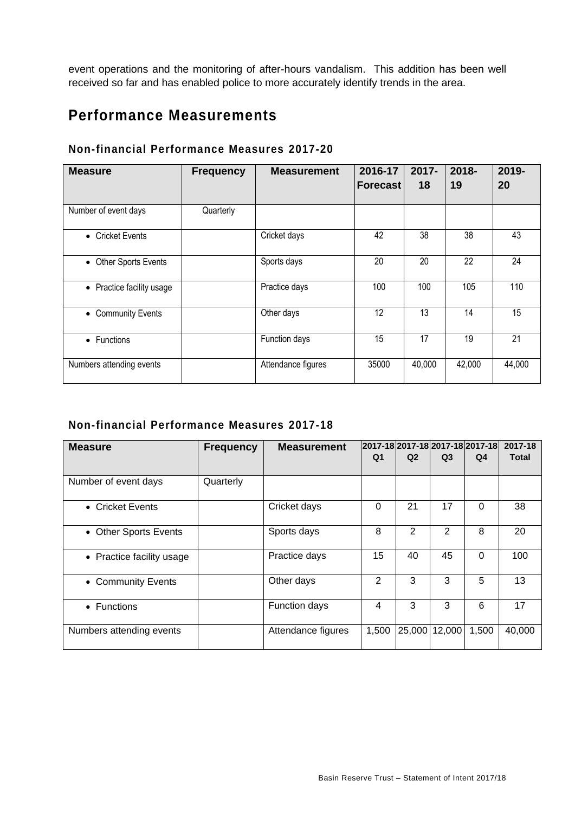event operations and the monitoring of after-hours vandalism. This addition has been well received so far and has enabled police to more accurately identify trends in the area.

# **Performance Measurements**

| Non-financial Performance Measures 2017-20 |  |  |  |
|--------------------------------------------|--|--|--|
|--------------------------------------------|--|--|--|

| <b>Measure</b>            | <b>Frequency</b> | <b>Measurement</b> | 2016-17         | $2017 -$ | 2018-  | 2019-  |
|---------------------------|------------------|--------------------|-----------------|----------|--------|--------|
|                           |                  |                    | <b>Forecast</b> | 18       | 19     | 20     |
| Number of event days      | Quarterly        |                    |                 |          |        |        |
| • Cricket Events          |                  | Cricket days       | 42              | 38       | 38     | 43     |
| • Other Sports Events     |                  | Sports days        | 20              | 20       | 22     | 24     |
| • Practice facility usage |                  | Practice days      | 100             | 100      | 105    | 110    |
| • Community Events        |                  | Other days         | 12              | 13       | 14     | 15     |
| • Functions               |                  | Function days      | 15              | 17       | 19     | 21     |
| Numbers attending events  |                  | Attendance figures | 35000           | 40,000   | 42,000 | 44,000 |

### **Non-financial Performance Measures 2017-18**

| <b>Measure</b>            | <b>Frequency</b> | <b>Measurement</b> |                |                | 2017-18 2017-18 2017-18 2017-18 |                | 2017-18      |
|---------------------------|------------------|--------------------|----------------|----------------|---------------------------------|----------------|--------------|
|                           |                  |                    | Q <sub>1</sub> | Q <sub>2</sub> | Q <sub>3</sub>                  | Q <sub>4</sub> | <b>Total</b> |
| Number of event days      | Quarterly        |                    |                |                |                                 |                |              |
| • Cricket Events          |                  | Cricket days       | 0              | 21             | 17                              | 0              | 38           |
| • Other Sports Events     |                  | Sports days        | 8              | 2              | 2                               | 8              | 20           |
| • Practice facility usage |                  | Practice days      | 15             | 40             | 45                              | $\Omega$       | 100          |
| • Community Events        |                  | Other days         | 2              | 3              | 3                               | 5              | 13           |
| • Functions               |                  | Function days      | 4              | 3              | 3                               | 6              | 17           |
| Numbers attending events  |                  | Attendance figures | 1,500          | 25,000         | 12,000                          | 1,500          | 40,000       |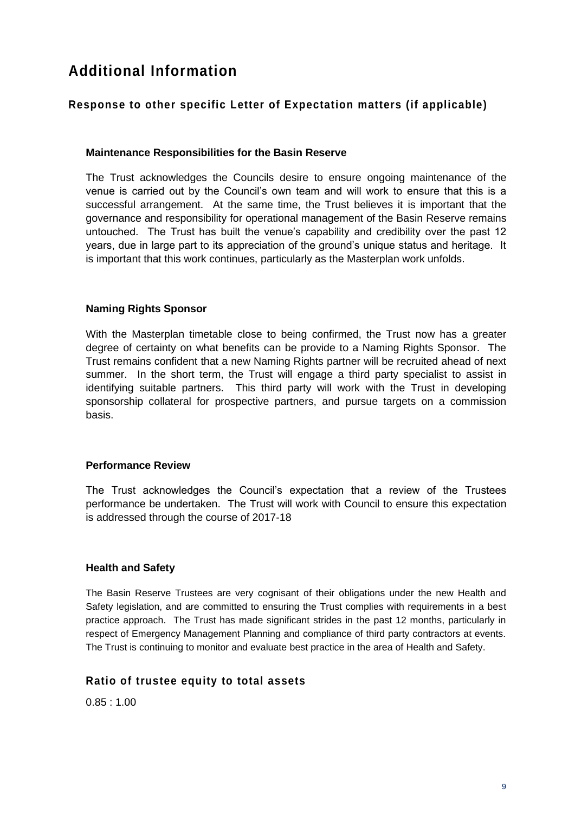# **Additional Information**

### **Response to other specific Letter of Expectation matters (if applicable)**

#### **Maintenance Responsibilities for the Basin Reserve**

The Trust acknowledges the Councils desire to ensure ongoing maintenance of the venue is carried out by the Council's own team and will work to ensure that this is a successful arrangement. At the same time, the Trust believes it is important that the governance and responsibility for operational management of the Basin Reserve remains untouched. The Trust has built the venue's capability and credibility over the past 12 years, due in large part to its appreciation of the ground's unique status and heritage. It is important that this work continues, particularly as the Masterplan work unfolds.

#### **Naming Rights Sponsor**

With the Masterplan timetable close to being confirmed, the Trust now has a greater degree of certainty on what benefits can be provide to a Naming Rights Sponsor. The Trust remains confident that a new Naming Rights partner will be recruited ahead of next summer. In the short term, the Trust will engage a third party specialist to assist in identifying suitable partners. This third party will work with the Trust in developing sponsorship collateral for prospective partners, and pursue targets on a commission basis.

#### **Performance Review**

The Trust acknowledges the Council's expectation that a review of the Trustees performance be undertaken. The Trust will work with Council to ensure this expectation is addressed through the course of 2017-18

#### **Health and Safety**

The Basin Reserve Trustees are very cognisant of their obligations under the new Health and Safety legislation, and are committed to ensuring the Trust complies with requirements in a best practice approach. The Trust has made significant strides in the past 12 months, particularly in respect of Emergency Management Planning and compliance of third party contractors at events. The Trust is continuing to monitor and evaluate best practice in the area of Health and Safety.

### **Ratio of trustee equity to total assets**

0.85 : 1.00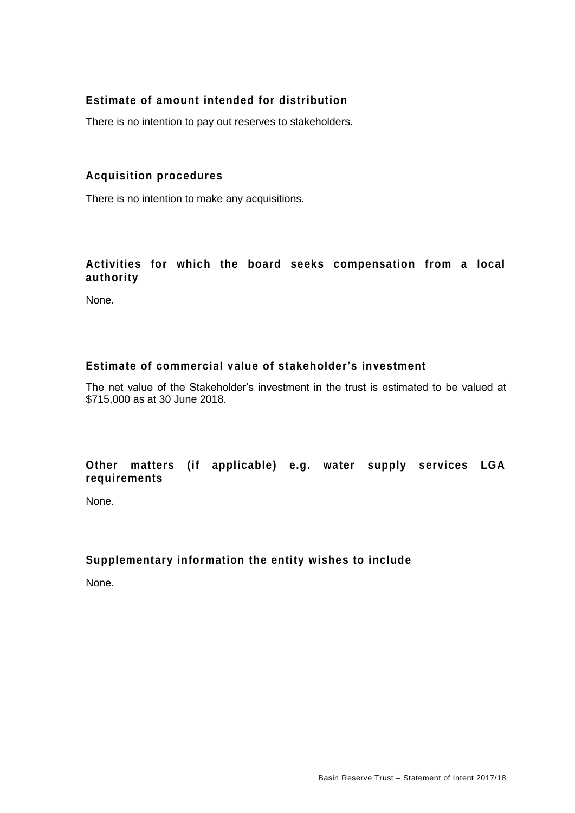### **Estimate of amount intended for distribution**

There is no intention to pay out reserves to stakeholders.

### **Acquisition procedures**

There is no intention to make any acquisitions.

### **Activities for which the board seeks compensation from a local authority**

None.

### **Estimate of commercial value of stakeholder's investment**

The net value of the Stakeholder's investment in the trust is estimated to be valued at \$715,000 as at 30 June 2018.

### **Other matters (if applicable) e.g. water supply services LGA requirements**

None.

### **Supplementary information the entity wishes to include**

None.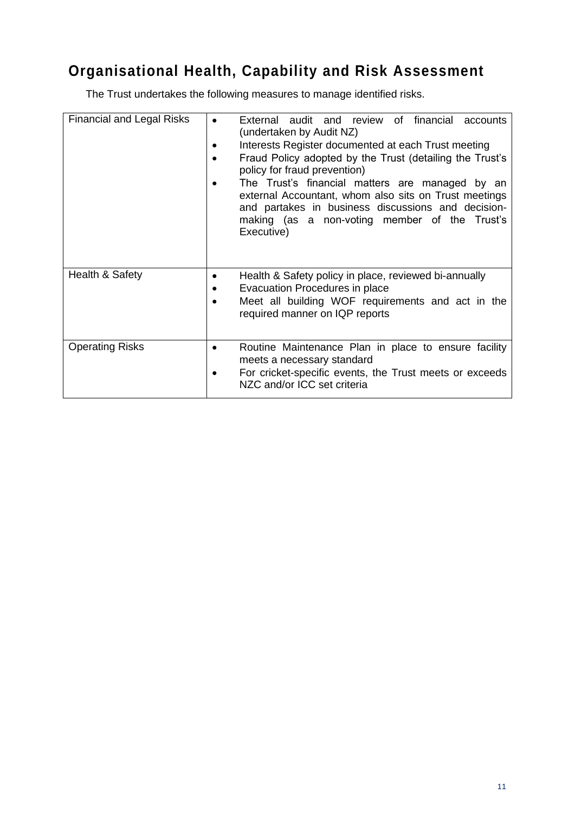# **Organisational Health, Capability and Risk Assessment**

The Trust undertakes the following measures to manage identified risks.

| <b>Financial and Legal Risks</b> | External audit and review of financial accounts<br>(undertaken by Audit NZ)<br>Interests Register documented at each Trust meeting<br>Fraud Policy adopted by the Trust (detailing the Trust's<br>policy for fraud prevention)<br>The Trust's financial matters are managed by an<br>external Accountant, whom also sits on Trust meetings<br>and partakes in business discussions and decision-<br>making (as a non-voting member of the Trust's<br>Executive) |
|----------------------------------|-----------------------------------------------------------------------------------------------------------------------------------------------------------------------------------------------------------------------------------------------------------------------------------------------------------------------------------------------------------------------------------------------------------------------------------------------------------------|
| Health & Safety                  | Health & Safety policy in place, reviewed bi-annually<br>Evacuation Procedures in place<br>Meet all building WOF requirements and act in the<br>required manner on IQP reports                                                                                                                                                                                                                                                                                  |
| <b>Operating Risks</b>           | Routine Maintenance Plan in place to ensure facility<br>meets a necessary standard<br>For cricket-specific events, the Trust meets or exceeds<br>NZC and/or ICC set criteria                                                                                                                                                                                                                                                                                    |